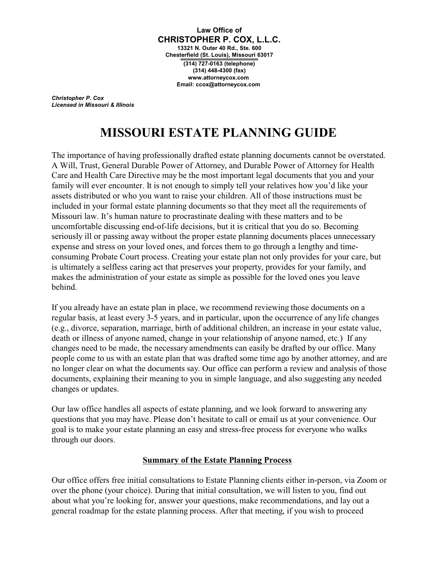**Law Office of CHRISTOPHER P. COX, L.L.C. 13321 N. Outer 40 Rd., Ste. 600 Chesterfield (St. Louis), Missouri 63017 (314) 727-0163 (telephone) (314) 448-4300 (fax) www.attorneycox.com Email: ccox@attorneycox.com**

*Christopher P. Cox Licensed in Missouri & Illinois*

# **MISSOURI ESTATE PLANNING GUIDE**

The importance of having professionally drafted estate planning documents cannot be overstated. A Will, Trust, General Durable Power of Attorney, and Durable Power of Attorney for Health Care and Health Care Directive may be the most important legal documents that you and your family will ever encounter. It is not enough to simply tell your relatives how you'd like your assets distributed or who you want to raise your children. All of those instructions must be included in your formal estate planning documents so that they meet all the requirements of Missouri law. It's human nature to procrastinate dealing with these matters and to be uncomfortable discussing end-of-life decisions, but it is critical that you do so. Becoming seriously ill or passing away without the proper estate planning documents places unnecessary expense and stress on your loved ones, and forces them to go through a lengthy and timeconsuming Probate Court process. Creating your estate plan not only provides for your care, but is ultimately a selfless caring act that preserves your property, provides for your family, and makes the administration of your estate as simple as possible for the loved ones you leave behind.

If you already have an estate plan in place, we recommend reviewing those documents on a regular basis, at least every 3-5 years, and in particular, upon the occurrence of any life changes (e.g., divorce, separation, marriage, birth of additional children, an increase in your estate value, death or illness of anyone named, change in your relationship of anyone named, etc.) If any changes need to be made, the necessary amendments can easily be drafted by our office. Many people come to us with an estate plan that was drafted some time ago by another attorney, and are no longer clear on what the documents say. Our office can perform a review and analysis of those documents, explaining their meaning to you in simple language, and also suggesting any needed changes or updates.

Our law office handles all aspects of estate planning, and we look forward to answering any questions that you may have. Please don't hesitate to call or email us at your convenience. Our goal is to make your estate planning an easy and stress-free process for everyone who walks through our doors.

## **Summary of the Estate Planning Process**

Our office offers free initial consultations to Estate Planning clients either in-person, via Zoom or over the phone (your choice). During that initial consultation, we will listen to you, find out about what you're looking for, answer your questions, make recommendations, and lay out a general roadmap for the estate planning process. After that meeting, if you wish to proceed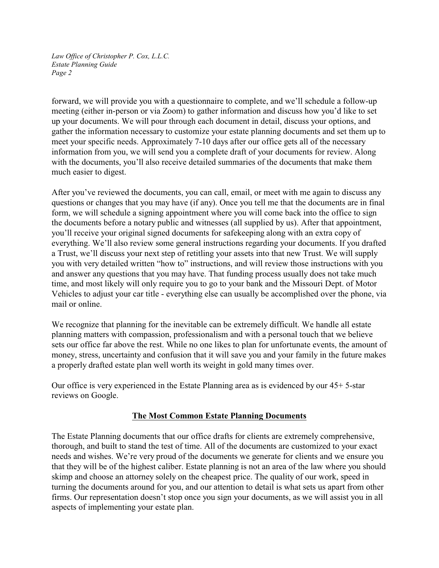forward, we will provide you with a questionnaire to complete, and we'll schedule a follow-up meeting (either in-person or via Zoom) to gather information and discuss how you'd like to set up your documents. We will pour through each document in detail, discuss your options, and gather the information necessary to customize your estate planning documents and set them up to meet your specific needs. Approximately 7-10 days after our office gets all of the necessary information from you, we will send you a complete draft of your documents for review. Along with the documents, you'll also receive detailed summaries of the documents that make them much easier to digest.

After you've reviewed the documents, you can call, email, or meet with me again to discuss any questions or changes that you may have (if any). Once you tell me that the documents are in final form, we will schedule a signing appointment where you will come back into the office to sign the documents before a notary public and witnesses (all supplied by us). After that appointment, you'll receive your original signed documents for safekeeping along with an extra copy of everything. We'll also review some general instructions regarding your documents. If you drafted a Trust, we'll discuss your next step of retitling your assets into that new Trust. We will supply you with very detailed written "how to" instructions, and will review those instructions with you and answer any questions that you may have. That funding process usually does not take much time, and most likely will only require you to go to your bank and the Missouri Dept. of Motor Vehicles to adjust your car title - everything else can usually be accomplished over the phone, via mail or online.

We recognize that planning for the inevitable can be extremely difficult. We handle all estate planning matters with compassion, professionalism and with a personal touch that we believe sets our office far above the rest. While no one likes to plan for unfortunate events, the amount of money, stress, uncertainty and confusion that it will save you and your family in the future makes a properly drafted estate plan well worth its weight in gold many times over.

Our office is very experienced in the Estate Planning area as is evidenced by our 45+ 5-star reviews on Google.

## **The Most Common Estate Planning Documents**

The Estate Planning documents that our office drafts for clients are extremely comprehensive, thorough, and built to stand the test of time. All of the documents are customized to your exact needs and wishes. We're very proud of the documents we generate for clients and we ensure you that they will be of the highest caliber. Estate planning is not an area of the law where you should skimp and choose an attorney solely on the cheapest price. The quality of our work, speed in turning the documents around for you, and our attention to detail is what sets us apart from other firms. Our representation doesn't stop once you sign your documents, as we will assist you in all aspects of implementing your estate plan.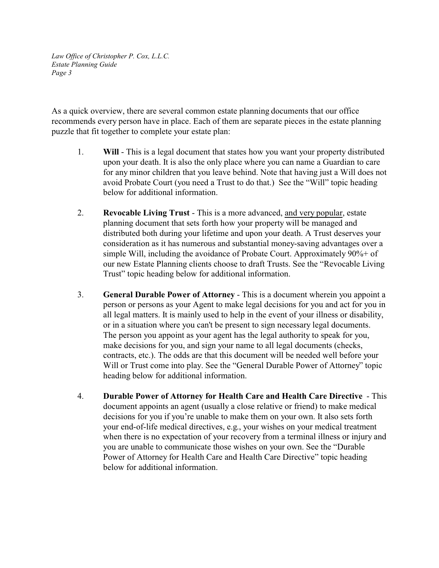As a quick overview, there are several common estate planning documents that our office recommends every person have in place. Each of them are separate pieces in the estate planning puzzle that fit together to complete your estate plan:

- 1. **Will** This is a legal document that states how you want your property distributed upon your death. It is also the only place where you can name a Guardian to care for any minor children that you leave behind. Note that having just a Will does not avoid Probate Court (you need a Trust to do that.) See the "Will" topic heading below for additional information.
- 2. **Revocable Living Trust**  This is a more advanced, and very popular, estate planning document that sets forth how your property will be managed and distributed both during your lifetime and upon your death. A Trust deserves your consideration as it has numerous and substantial money-saving advantages over a simple Will, including the avoidance of Probate Court. Approximately 90%+ of our new Estate Planning clients choose to draft Trusts. See the "Revocable Living Trust" topic heading below for additional information.
- 3. **General Durable Power of Attorney**  This is a document wherein you appoint a person or persons as your Agent to make legal decisions for you and act for you in all legal matters. It is mainly used to help in the event of your illness or disability, or in a situation where you can't be present to sign necessary legal documents. The person you appoint as your agent has the legal authority to speak for you, make decisions for you, and sign your name to all legal documents (checks, contracts, etc.). The odds are that this document will be needed well before your Will or Trust come into play. See the "General Durable Power of Attorney" topic heading below for additional information.
- 4. **Durable Power of Attorney for Health Care and Health Care Directive**  This document appoints an agent (usually a close relative or friend) to make medical decisions for you if you're unable to make them on your own. It also sets forth your end-of-life medical directives, e.g., your wishes on your medical treatment when there is no expectation of your recovery from a terminal illness or injury and you are unable to communicate those wishes on your own. See the "Durable Power of Attorney for Health Care and Health Care Directive" topic heading below for additional information.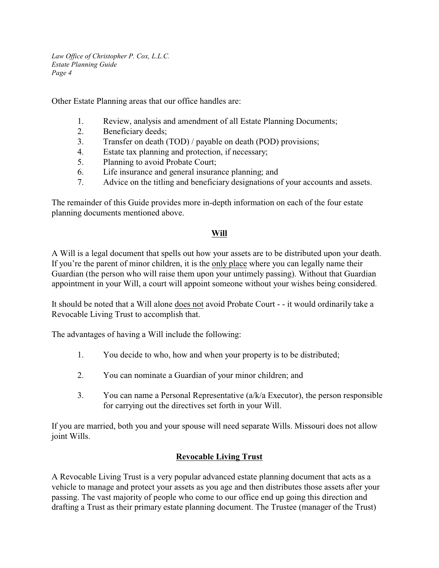Other Estate Planning areas that our office handles are:

- 1. Review, analysis and amendment of all Estate Planning Documents;
- 2. Beneficiary deeds;
- 3. Transfer on death (TOD) / payable on death (POD) provisions;
- 4. Estate tax planning and protection, if necessary;
- 5. Planning to avoid Probate Court;
- 6. Life insurance and general insurance planning; and
- 7. Advice on the titling and beneficiary designations of your accounts and assets.

The remainder of this Guide provides more in-depth information on each of the four estate planning documents mentioned above.

# **Will**

A Will is a legal document that spells out how your assets are to be distributed upon your death. If you're the parent of minor children, it is the only place where you can legally name their Guardian (the person who will raise them upon your untimely passing). Without that Guardian appointment in your Will, a court will appoint someone without your wishes being considered.

It should be noted that a Will alone does not avoid Probate Court - - it would ordinarily take a Revocable Living Trust to accomplish that.

The advantages of having a Will include the following:

- 1. You decide to who, how and when your property is to be distributed;
- 2. You can nominate a Guardian of your minor children; and
- 3. You can name a Personal Representative (a/k/a Executor), the person responsible for carrying out the directives set forth in your Will.

If you are married, both you and your spouse will need separate Wills. Missouri does not allow joint Wills.

# **Revocable Living Trust**

A Revocable Living Trust is a very popular advanced estate planning document that acts as a vehicle to manage and protect your assets as you age and then distributes those assets after your passing. The vast majority of people who come to our office end up going this direction and drafting a Trust as their primary estate planning document. The Trustee (manager of the Trust)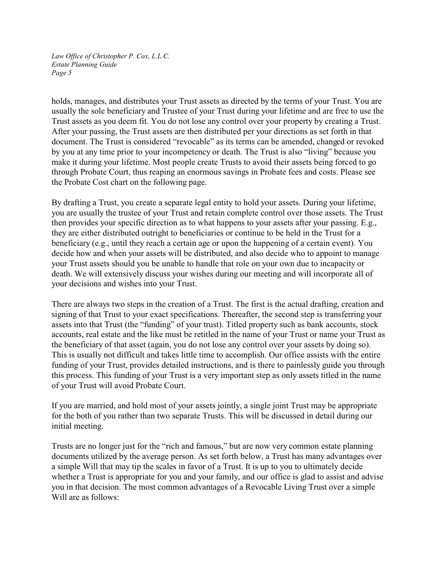holds, manages, and distributes your Trust assets as directed by the terms of your Trust. You are usually the sole beneficiary and Trustee of your Trust during your lifetime and are free to use the Trust assets as you deem fit. You do not lose any control over your property by creating a Trust. After your passing, the Trust assets are then distributed per your directions as set forth in that document. The Trust is considered "revocable" as its terms can be amended, changed or revoked by you at any time prior to your incompetency or death. The Trust is also "living" because you make it during your lifetime. Most people create Trusts to avoid their assets being forced to go through Probate Court, thus reaping an enormous savings in Probate fees and costs. Please see the Probate Cost chart on the following page.

By drafting a Trust, you create a separate legal entity to hold your assets. During your lifetime, you are usually the trustee of your Trust and retain complete control over those assets. The Trust then provides your specific direction as to what happens to your assets after your passing. E.g., they are either distributed outright to beneficiaries or continue to be held in the Trust for a beneficiary (e.g., until they reach a certain age or upon the happening of a certain event). You decide how and when your assets will be distributed, and also decide who to appoint to manage your Trust assets should you be unable to handle that role on your own due to incapacity or death. We will extensively discuss your wishes during our meeting and will incorporate all of your decisions and wishes into your Trust.

There are always two steps in the creation of a Trust. The first is the actual drafting, creation and signing of that Trust to your exact specifications. Thereafter, the second step is transferring your assets into that Trust (the "funding" of your trust). Titled property such as bank accounts, stock accounts, real estate and the like must be retitled in the name of your Trust or name your Trust as the beneficiary of that asset (again, you do not lose any control over your assets by doing so). This is usually not difficult and takes little time to accomplish. Our office assists with the entire funding of your Trust, provides detailed instructions, and is there to painlessly guide you through this process. This funding of your Trust is a very important step as only assets titled in the name of your Trust will avoid Probate Court.

If you are married, and hold most of your assets jointly, a single joint Trust may be appropriate for the both of you rather than two separate Trusts. This will be discussed in detail during our initial meeting.

Trusts are no longer just for the "rich and famous," but are now very common estate planning documents utilized by the average person. As set forth below, a Trust has many advantages over a simple Will that may tip the scales in favor of a Trust. It is up to you to ultimately decide whether a Trust is appropriate for you and your family, and our office is glad to assist and advise you in that decision. The most common advantages of a Revocable Living Trust over a simple Will are as follows: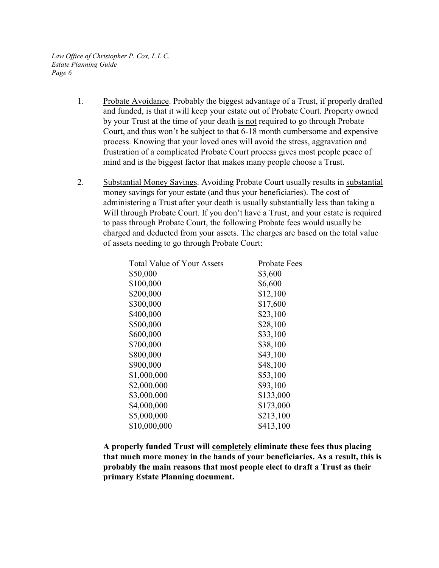- 1. Probate Avoidance. Probably the biggest advantage of a Trust, if properly drafted and funded, is that it will keep your estate out of Probate Court. Property owned by your Trust at the time of your death is not required to go through Probate Court, and thus won't be subject to that 6-18 month cumbersome and expensive process. Knowing that your loved ones will avoid the stress, aggravation and frustration of a complicated Probate Court process gives most people peace of mind and is the biggest factor that makes many people choose a Trust.
- 2. Substantial Money Savings. Avoiding Probate Court usually results in substantial money savings for your estate (and thus your beneficiaries). The cost of administering a Trust after your death is usually substantially less than taking a Will through Probate Court. If you don't have a Trust, and your estate is required to pass through Probate Court, the following Probate fees would usually be charged and deducted from your assets. The charges are based on the total value of assets needing to go through Probate Court:

| <b>Total Value of Your Assets</b> | Probate Fees |
|-----------------------------------|--------------|
| \$50,000                          | \$3,600      |
| \$100,000                         | \$6,600      |
| \$200,000                         | \$12,100     |
| \$300,000                         | \$17,600     |
| \$400,000                         | \$23,100     |
| \$500,000                         | \$28,100     |
| \$600,000                         | \$33,100     |
| \$700,000                         | \$38,100     |
| \$800,000                         | \$43,100     |
| \$900,000                         | \$48,100     |
| \$1,000,000                       | \$53,100     |
| \$2,000.000                       | \$93,100     |
| \$3,000.000                       | \$133,000    |
| \$4,000,000                       | \$173,000    |
| \$5,000,000                       | \$213,100    |
| \$10,000,000                      | \$413,100    |
|                                   |              |

**A properly funded Trust will completely eliminate these fees thus placing that much more money in the hands of your beneficiaries. As a result, this is probably the main reasons that most people elect to draft a Trust as their primary Estate Planning document.**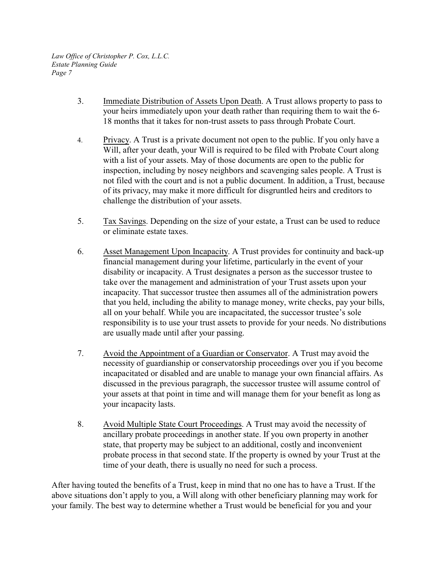- 3. Immediate Distribution of Assets Upon Death. A Trust allows property to pass to your heirs immediately upon your death rather than requiring them to wait the 6- 18 months that it takes for non-trust assets to pass through Probate Court.
- 4. Privacy. A Trust is a private document not open to the public. If you only have a Will, after your death, your Will is required to be filed with Probate Court along with a list of your assets. May of those documents are open to the public for inspection, including by nosey neighbors and scavenging sales people. A Trust is not filed with the court and is not a public document. In addition, a Trust, because of its privacy, may make it more difficult for disgruntled heirs and creditors to challenge the distribution of your assets.
- 5. Tax Savings. Depending on the size of your estate, a Trust can be used to reduce or eliminate estate taxes.
- 6. Asset Management Upon Incapacity. A Trust provides for continuity and back-up financial management during your lifetime, particularly in the event of your disability or incapacity. A Trust designates a person as the successor trustee to take over the management and administration of your Trust assets upon your incapacity. That successor trustee then assumes all of the administration powers that you held, including the ability to manage money, write checks, pay your bills, all on your behalf. While you are incapacitated, the successor trustee's sole responsibility is to use your trust assets to provide for your needs. No distributions are usually made until after your passing.
- 7. Avoid the Appointment of a Guardian or Conservator. A Trust may avoid the necessity of guardianship or conservatorship proceedings over you if you become incapacitated or disabled and are unable to manage your own financial affairs. As discussed in the previous paragraph, the successor trustee will assume control of your assets at that point in time and will manage them for your benefit as long as your incapacity lasts.
- 8. Avoid Multiple State Court Proceedings. A Trust may avoid the necessity of ancillary probate proceedings in another state. If you own property in another state, that property may be subject to an additional, costly and inconvenient probate process in that second state. If the property is owned by your Trust at the time of your death, there is usually no need for such a process.

After having touted the benefits of a Trust, keep in mind that no one has to have a Trust. If the above situations don't apply to you, a Will along with other beneficiary planning may work for your family. The best way to determine whether a Trust would be beneficial for you and your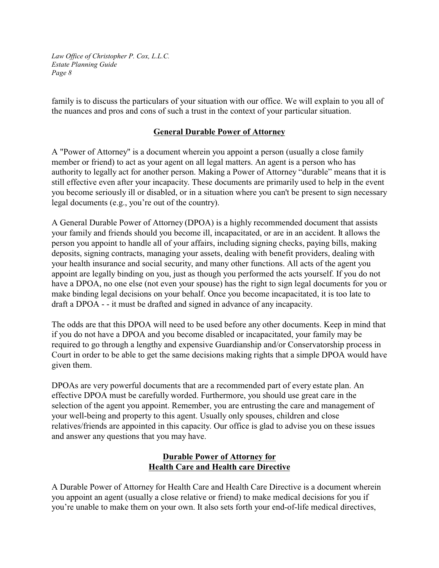family is to discuss the particulars of your situation with our office. We will explain to you all of the nuances and pros and cons of such a trust in the context of your particular situation.

#### **General Durable Power of Attorney**

A "Power of Attorney" is a document wherein you appoint a person (usually a close family member or friend) to act as your agent on all legal matters. An agent is a person who has authority to legally act for another person. Making a Power of Attorney "durable" means that it is still effective even after your incapacity. These documents are primarily used to help in the event you become seriously ill or disabled, or in a situation where you can't be present to sign necessary legal documents (e.g., you're out of the country).

A General Durable Power of Attorney (DPOA) is a highly recommended document that assists your family and friends should you become ill, incapacitated, or are in an accident. It allows the person you appoint to handle all of your affairs, including signing checks, paying bills, making deposits, signing contracts, managing your assets, dealing with benefit providers, dealing with your health insurance and social security, and many other functions. All acts of the agent you appoint are legally binding on you, just as though you performed the acts yourself. If you do not have a DPOA, no one else (not even your spouse) has the right to sign legal documents for you or make binding legal decisions on your behalf. Once you become incapacitated, it is too late to draft a DPOA - - it must be drafted and signed in advance of any incapacity.

The odds are that this DPOA will need to be used before any other documents. Keep in mind that if you do not have a DPOA and you become disabled or incapacitated, your family may be required to go through a lengthy and expensive Guardianship and/or Conservatorship process in Court in order to be able to get the same decisions making rights that a simple DPOA would have given them.

DPOAs are very powerful documents that are a recommended part of every estate plan. An effective DPOA must be carefully worded. Furthermore, you should use great care in the selection of the agent you appoint. Remember, you are entrusting the care and management of your well-being and property to this agent. Usually only spouses, children and close relatives/friends are appointed in this capacity. Our office is glad to advise you on these issues and answer any questions that you may have.

## **Durable Power of Attorney for Health Care and Health care Directive**

A Durable Power of Attorney for Health Care and Health Care Directive is a document wherein you appoint an agent (usually a close relative or friend) to make medical decisions for you if you're unable to make them on your own. It also sets forth your end-of-life medical directives,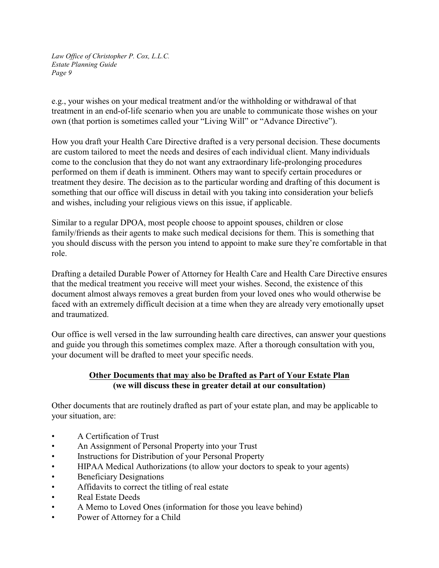e.g., your wishes on your medical treatment and/or the withholding or withdrawal of that treatment in an end-of-life scenario when you are unable to communicate those wishes on your own (that portion is sometimes called your "Living Will" or "Advance Directive").

How you draft your Health Care Directive drafted is a very personal decision. These documents are custom tailored to meet the needs and desires of each individual client. Many individuals come to the conclusion that they do not want any extraordinary life-prolonging procedures performed on them if death is imminent. Others may want to specify certain procedures or treatment they desire. The decision as to the particular wording and drafting of this document is something that our office will discuss in detail with you taking into consideration your beliefs and wishes, including your religious views on this issue, if applicable.

Similar to a regular DPOA, most people choose to appoint spouses, children or close family/friends as their agents to make such medical decisions for them. This is something that you should discuss with the person you intend to appoint to make sure they're comfortable in that role.

Drafting a detailed Durable Power of Attorney for Health Care and Health Care Directive ensures that the medical treatment you receive will meet your wishes. Second, the existence of this document almost always removes a great burden from your loved ones who would otherwise be faced with an extremely difficult decision at a time when they are already very emotionally upset and traumatized.

Our office is well versed in the law surrounding health care directives, can answer your questions and guide you through this sometimes complex maze. After a thorough consultation with you, your document will be drafted to meet your specific needs.

# **Other Documents that may also be Drafted as Part of Your Estate Plan (we will discuss these in greater detail at our consultation)**

Other documents that are routinely drafted as part of your estate plan, and may be applicable to your situation, are:

- A Certification of Trust
- An Assignment of Personal Property into your Trust
- Instructions for Distribution of your Personal Property
- HIPAA Medical Authorizations (to allow your doctors to speak to your agents)
- Beneficiary Designations
- Affidavits to correct the titling of real estate
- Real Estate Deeds
- A Memo to Loved Ones (information for those you leave behind)
- Power of Attorney for a Child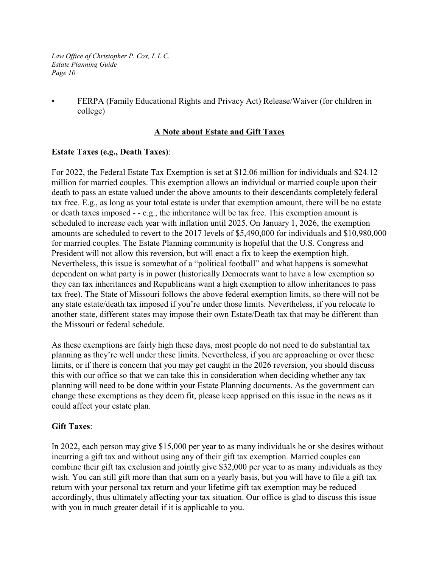• FERPA (Family Educational Rights and Privacy Act) Release/Waiver (for children in college)

### **A Note about Estate and Gift Taxes**

### **Estate Taxes (e.g., Death Taxes)**:

For 2022, the Federal Estate Tax Exemption is set at \$12.06 million for individuals and \$24.12 million for married couples. This exemption allows an individual or married couple upon their death to pass an estate valued under the above amounts to their descendants completely federal tax free. E.g., as long as your total estate is under that exemption amount, there will be no estate or death taxes imposed - - e.g., the inheritance will be tax free. This exemption amount is scheduled to increase each year with inflation until 2025. On January 1, 2026, the exemption amounts are scheduled to revert to the 2017 levels of \$5,490,000 for individuals and \$10,980,000 for married couples. The Estate Planning community is hopeful that the U.S. Congress and President will not allow this reversion, but will enact a fix to keep the exemption high. Nevertheless, this issue is somewhat of a "political football" and what happens is somewhat dependent on what party is in power (historically Democrats want to have a low exemption so they can tax inheritances and Republicans want a high exemption to allow inheritances to pass tax free). The State of Missouri follows the above federal exemption limits, so there will not be any state estate/death tax imposed if you're under those limits. Nevertheless, if you relocate to another state, different states may impose their own Estate/Death tax that may be different than the Missouri or federal schedule.

As these exemptions are fairly high these days, most people do not need to do substantial tax planning as they're well under these limits. Nevertheless, if you are approaching or over these limits, or if there is concern that you may get caught in the 2026 reversion, you should discuss this with our office so that we can take this in consideration when deciding whether any tax planning will need to be done within your Estate Planning documents. As the government can change these exemptions as they deem fit, please keep apprised on this issue in the news as it could affect your estate plan.

#### **Gift Taxes**:

In 2022, each person may give \$15,000 per year to as many individuals he or she desires without incurring a gift tax and without using any of their gift tax exemption. Married couples can combine their gift tax exclusion and jointly give \$32,000 per year to as many individuals as they wish. You can still gift more than that sum on a yearly basis, but you will have to file a gift tax return with your personal tax return and your lifetime gift tax exemption may be reduced accordingly, thus ultimately affecting your tax situation. Our office is glad to discuss this issue with you in much greater detail if it is applicable to you.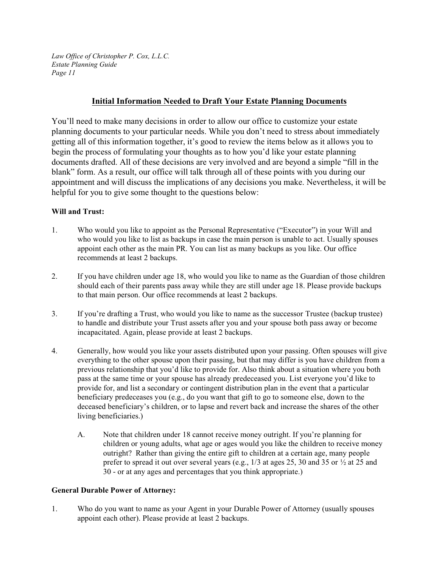#### **Initial Information Needed to Draft Your Estate Planning Documents**

You'll need to make many decisions in order to allow our office to customize your estate planning documents to your particular needs. While you don't need to stress about immediately getting all of this information together, it's good to review the items below as it allows you to begin the process of formulating your thoughts as to how you'd like your estate planning documents drafted. All of these decisions are very involved and are beyond a simple "fill in the blank" form. As a result, our office will talk through all of these points with you during our appointment and will discuss the implications of any decisions you make. Nevertheless, it will be helpful for you to give some thought to the questions below:

#### **Will and Trust:**

- 1. Who would you like to appoint as the Personal Representative ("Executor") in your Will and who would you like to list as backups in case the main person is unable to act. Usually spouses appoint each other as the main PR. You can list as many backups as you like. Our office recommends at least 2 backups.
- 2. If you have children under age 18, who would you like to name as the Guardian of those children should each of their parents pass away while they are still under age 18. Please provide backups to that main person. Our office recommends at least 2 backups.
- 3. If you're drafting a Trust, who would you like to name as the successor Trustee (backup trustee) to handle and distribute your Trust assets after you and your spouse both pass away or become incapacitated. Again, please provide at least 2 backups.
- 4. Generally, how would you like your assets distributed upon your passing. Often spouses will give everything to the other spouse upon their passing, but that may differ is you have children from a previous relationship that you'd like to provide for. Also think about a situation where you both pass at the same time or your spouse has already predeceased you. List everyone you'd like to provide for, and list a secondary or contingent distribution plan in the event that a particular beneficiary predeceases you (e.g., do you want that gift to go to someone else, down to the deceased beneficiary's children, or to lapse and revert back and increase the shares of the other living beneficiaries.)
	- A. Note that children under 18 cannot receive money outright. If you're planning for children or young adults, what age or ages would you like the children to receive money outright? Rather than giving the entire gift to children at a certain age, many people prefer to spread it out over several years (e.g.,  $1/3$  at ages 25, 30 and 35 or  $\frac{1}{2}$  at 25 and 30 - or at any ages and percentages that you think appropriate.)

#### **General Durable Power of Attorney:**

1. Who do you want to name as your Agent in your Durable Power of Attorney (usually spouses appoint each other). Please provide at least 2 backups.